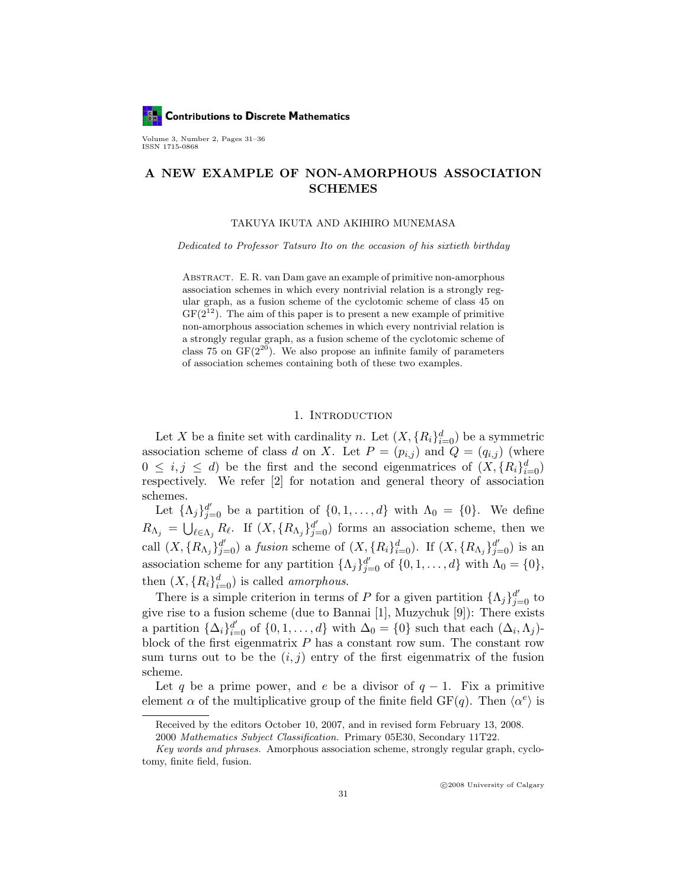**Contributions to Discrete Mathematics** 

Volume 3, Number 2, Pages 31–36 ISSN 1715-0868

# A NEW EXAMPLE OF NON-AMORPHOUS ASSOCIATION SCHEMES

### TAKUYA IKUTA AND AKIHIRO MUNEMASA

Dedicated to Professor Tatsuro Ito on the occasion of his sixtieth birthday

Abstract. E. R. van Dam gave an example of primitive non-amorphous association schemes in which every nontrivial relation is a strongly regular graph, as a fusion scheme of the cyclotomic scheme of class 45 on  $GF(2^{12})$ . The aim of this paper is to present a new example of primitive non-amorphous association schemes in which every nontrivial relation is a strongly regular graph, as a fusion scheme of the cyclotomic scheme of class 75 on  $GF(2^{20})$ . We also propose an infinite family of parameters of association schemes containing both of these two examples.

## 1. INTRODUCTION

Let X be a finite set with cardinality n. Let  $(X, \{R_i\}_{i=0}^d)$  be a symmetric association scheme of class d on X. Let  $P = (p_{i,j})$  and  $Q = (q_{i,j})$  (where  $0 \leq i, j \leq d$ ) be the first and the second eigenmatrices of  $(X, \{R_i\}_{i=0}^d)$ respectively. We refer [2] for notation and general theory of association schemes.

Let  $\{\Lambda_j\}_{j=0}^{d'}$  be a partition of  $\{0,1,\ldots,d\}$  with  $\Lambda_0 = \{0\}$ . We define  $R_{\Lambda_j} = \bigcup_{\ell \in \Lambda_j} R_{\ell}$ . If  $(X, \{R_{\Lambda_j}\}_{j=0}^{d'})$  forms an association scheme, then we call  $(X, \{R_{\Lambda_j}\}_{j=0}^{d'})$  a fusion scheme of  $(X, \{R_i\}_{i=0}^d)$ . If  $(X, \{R_{\Lambda_j}\}_{j=0}^{d'})$  is an association scheme for any partition  $\{\Lambda_j\}_{j=0}^{d'}$  of  $\{0, 1, ..., d\}$  with  $\Lambda_0 = \{0\},$ then  $(X, \{R_i\}_{i=0}^d)$  is called *amorphous*.

There is a simple criterion in terms of P for a given partition  $\{\Lambda_j\}_{j=0}^{d'}$  to give rise to a fusion scheme (due to Bannai [1], Muzychuk [9]): There exists a partition  $\{\Delta_i\}_{i=0}^{d'}$  of  $\{0,1,\ldots,d\}$  with  $\Delta_0 = \{0\}$  such that each  $(\Delta_i, \Lambda_j)$ block of the first eigenmatrix  $P$  has a constant row sum. The constant row sum turns out to be the  $(i, j)$  entry of the first eigenmatrix of the fusion scheme.

Let q be a prime power, and e be a divisor of  $q-1$ . Fix a primitive element  $\alpha$  of the multiplicative group of the finite field GF(q). Then  $\langle \alpha^e \rangle$  is

Received by the editors October 10, 2007, and in revised form February 13, 2008.

<sup>2000</sup> Mathematics Subject Classification. Primary 05E30, Secondary 11T22.

Key words and phrases. Amorphous association scheme, strongly regular graph, cyclotomy, finite field, fusion.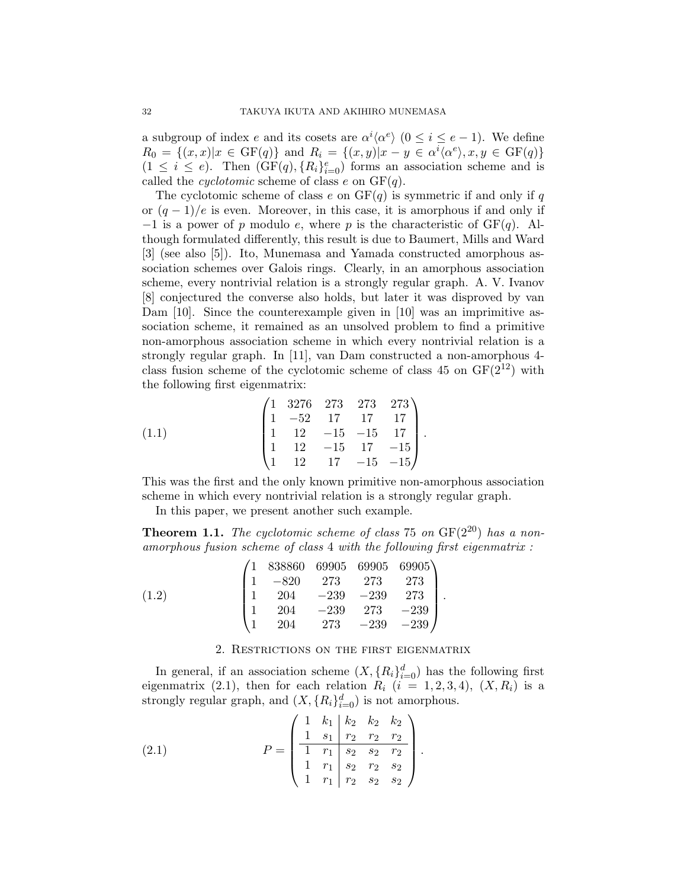a subgroup of index e and its cosets are  $\alpha^{i} \langle \alpha^{e} \rangle$   $(0 \leq i \leq e-1)$ . We define  $R_0 = \{(x, x) | x \in \text{GF}(q)\}\$ and  $R_i = \{(x, y) | x - y \in \alpha^i \langle \alpha^e \rangle, x, y \in \text{GF}(q)\}\$  $(1 \leq i \leq e)$ . Then  $(GF(q), \{R_i\}_{i=0}^e)$  forms an association scheme and is called the *cyclotomic* scheme of class e on  $GF(q)$ .

The cyclotomic scheme of class e on  $GF(q)$  is symmetric if and only if q or  $(q-1)/e$  is even. Moreover, in this case, it is amorphous if and only if  $-1$  is a power of p modulo e, where p is the characteristic of GF(q). Although formulated differently, this result is due to Baumert, Mills and Ward [3] (see also [5]). Ito, Munemasa and Yamada constructed amorphous association schemes over Galois rings. Clearly, in an amorphous association scheme, every nontrivial relation is a strongly regular graph. A. V. Ivanov [8] conjectured the converse also holds, but later it was disproved by van Dam [10]. Since the counterexample given in [10] was an imprimitive association scheme, it remained as an unsolved problem to find a primitive non-amorphous association scheme in which every nontrivial relation is a strongly regular graph. In [11], van Dam constructed a non-amorphous 4 class fusion scheme of the cyclotomic scheme of class 45 on  $GF(2^{12})$  with the following first eigenmatrix:

(1.1) 
$$
\begin{pmatrix} 1 & 3276 & 273 & 273 & 273 \\ 1 & -52 & 17 & 17 & 17 \\ 1 & 12 & -15 & -15 & 17 \\ 1 & 12 & -15 & 17 & -15 \\ 1 & 12 & 17 & -15 & -15 \end{pmatrix}.
$$

This was the first and the only known primitive non-amorphous association scheme in which every nontrivial relation is a strongly regular graph.

In this paper, we present another such example.

**Theorem 1.1.** The cyclotomic scheme of class 75 on  $GF(2^{20})$  has a nonamorphous fusion scheme of class 4 with the following first eigenmatrix :

.

| (1.2) |                                                                                                                                                                                               |  |  |
|-------|-----------------------------------------------------------------------------------------------------------------------------------------------------------------------------------------------|--|--|
|       |                                                                                                                                                                                               |  |  |
|       | $\begin{pmatrix} 1 & 838860 & 69905 & 69905 & 69905 \\ 1 & -820 & 273 & 273 & 273 \\ 1 & 204 & -239 & -239 & 273 \\ 1 & 204 & -239 & 273 & -239 \\ 1 & 204 & 273 & -239 & -239 \end{pmatrix}$ |  |  |

# 2. Restrictions on the first eigenmatrix

In general, if an association scheme  $(X, \{R_i\}_{i=0}^d)$  has the following first eigenmatrix (2.1), then for each relation  $R_i$  ( $i = 1, 2, 3, 4$ ),  $(X, R_i)$  is a strongly regular graph, and  $(X, \{R_i\}_{i=0}^d)$  is not amorphous.

(2.1) 
$$
P = \begin{pmatrix} 1 & k_1 & k_2 & k_2 & k_2 \\ \frac{1}{1} & s_1 & r_2 & r_2 & r_2 \\ \frac{1}{1} & r_1 & s_2 & s_2 & r_2 \\ 1 & r_1 & r_2 & s_2 & s_2 \end{pmatrix}.
$$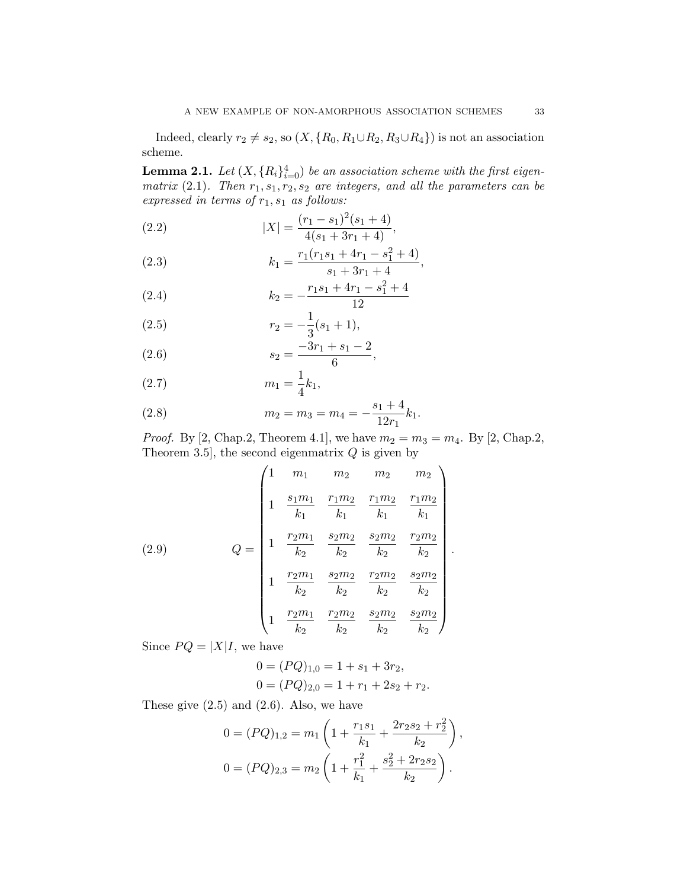Indeed, clearly  $r_2 \neq s_2$ , so  $(X, \{R_0, R_1 \cup R_2, R_3 \cup R_4\})$  is not an association scheme.

**Lemma 2.1.** Let  $(X, \{R_i\}_{i=0}^4)$  be an association scheme with the first eigenmatrix (2.1). Then  $r_1, s_1, r_2, s_2$  are integers, and all the parameters can be expressed in terms of  $r_1, s_1\,$  as follows:

(2.2) 
$$
|X| = \frac{(r_1 - s_1)^2 (s_1 + 4)}{4(s_1 + 3r_1 + 4)},
$$

(2.3) 
$$
k_1 = \frac{r_1(r_1s_1 + 4r_1 - s_1^2 + 4)}{s_1 + 3r_1 + 4},
$$

(2.4) 
$$
k_2 = -\frac{r_1s_1 + 4r_1 - s_1^2 + 4}{12}
$$

(2.5) 
$$
r_2 = -\frac{1}{3}(s_1 + 1),
$$

(2.6) 
$$
s_2 = \frac{-3r_1 + s_1 - 2}{6},
$$

$$
(2.7) \t m_1 = \frac{1}{4}k_1,
$$

(2.8) 
$$
m_2 = m_3 = m_4 = -\frac{s_1 + 4}{12r_1}k_1.
$$

*Proof.* By [2, Chap.2, Theorem 4.1], we have  $m_2 = m_3 = m_4$ . By [2, Chap.2, Theorem 3.5, the second eigenmatrix  $Q$  is given by

(2.9) 
$$
Q = \begin{pmatrix} 1 & m_1 & m_2 & m_2 & m_2 \\ 1 & \frac{s_1 m_1}{k_1} & \frac{r_1 m_2}{k_1} & \frac{r_1 m_2}{k_1} & \frac{r_1 m_2}{k_1} \\ 1 & \frac{r_2 m_1}{k_2} & \frac{s_2 m_2}{k_2} & \frac{s_2 m_2}{k_2} & \frac{r_2 m_2}{k_2} \\ 1 & \frac{r_2 m_1}{k_2} & \frac{s_2 m_2}{k_2} & \frac{r_2 m_2}{k_2} & \frac{s_2 m_2}{k_2} \\ 1 & \frac{r_2 m_1}{k_2} & \frac{r_2 m_2}{k_2} & \frac{s_2 m_2}{k_2} & \frac{s_2 m_2}{k_2} \end{pmatrix}.
$$

Since  $PQ = |X|I$ , we have

$$
0 = (PQ)_{1,0} = 1 + s_1 + 3r_2,
$$
  
\n
$$
0 = (PQ)_{2,0} = 1 + r_1 + 2s_2 + r_2.
$$

These give  $(2.5)$  and  $(2.6)$ . Also, we have

$$
0 = (PQ)_{1,2} = m_1 \left( 1 + \frac{r_1 s_1}{k_1} + \frac{2r_2 s_2 + r_2^2}{k_2} \right),
$$
  

$$
0 = (PQ)_{2,3} = m_2 \left( 1 + \frac{r_1^2}{k_1} + \frac{s_2^2 + 2r_2 s_2}{k_2} \right).
$$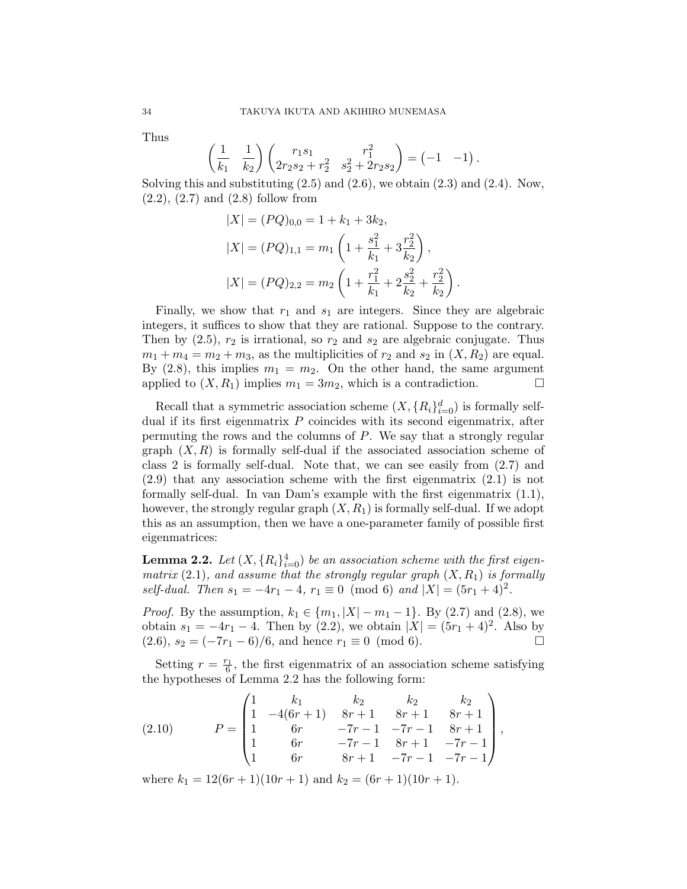Thus

$$
\begin{pmatrix} \frac{1}{k_1} & \frac{1}{k_2} \end{pmatrix} \begin{pmatrix} r_1 s_1 & r_1^2 \ 2r_2 s_2 + r_2^2 & s_2^2 + 2r_2 s_2 \end{pmatrix} = \begin{pmatrix} -1 & -1 \end{pmatrix}.
$$

Solving this and substituting  $(2.5)$  and  $(2.6)$ , we obtain  $(2.3)$  and  $(2.4)$ . Now,  $(2.2)$ ,  $(2.7)$  and  $(2.8)$  follow from

$$
|X| = (PQ)_{0,0} = 1 + k_1 + 3k_2,
$$
  
\n
$$
|X| = (PQ)_{1,1} = m_1 \left( 1 + \frac{s_1^2}{k_1} + 3\frac{r_2^2}{k_2} \right),
$$
  
\n
$$
|X| = (PQ)_{2,2} = m_2 \left( 1 + \frac{r_1^2}{k_1} + 2\frac{s_2^2}{k_2} + \frac{r_2^2}{k_2} \right).
$$

Finally, we show that  $r_1$  and  $s_1$  are integers. Since they are algebraic integers, it suffices to show that they are rational. Suppose to the contrary. Then by  $(2.5)$ ,  $r_2$  is irrational, so  $r_2$  and  $s_2$  are algebraic conjugate. Thus  $m_1 + m_4 = m_2 + m_3$ , as the multiplicities of  $r_2$  and  $s_2$  in  $(X, R_2)$  are equal. By  $(2.8)$ , this implies  $m_1 = m_2$ . On the other hand, the same argument applied to  $(X, R_1)$  implies  $m_1 = 3m_2$ , which is a contradiction.

Recall that a symmetric association scheme  $(X, \{R_i\}_{i=0}^d)$  is formally selfdual if its first eigenmatrix  $P$  coincides with its second eigenmatrix, after permuting the rows and the columns of  $P$ . We say that a strongly regular graph  $(X, R)$  is formally self-dual if the associated association scheme of class 2 is formally self-dual. Note that, we can see easily from (2.7) and (2.9) that any association scheme with the first eigenmatrix (2.1) is not formally self-dual. In van Dam's example with the first eigenmatrix (1.1), however, the strongly regular graph  $(X, R_1)$  is formally self-dual. If we adopt this as an assumption, then we have a one-parameter family of possible first eigenmatrices:

**Lemma 2.2.** Let  $(X, \{R_i\}_{i=0}^4)$  be an association scheme with the first eigenmatrix  $(2.1)$ , and assume that the strongly regular graph  $(X, R_1)$  is formally self-dual. Then  $s_1 = -4r_1 - 4$ ,  $r_1 \equiv 0 \pmod{6}$  and  $|X| = (5r_1 + 4)^2$ .

*Proof.* By the assumption,  $k_1 \in \{m_1, |X| - m_1 - 1\}$ . By (2.7) and (2.8), we obtain  $s_1 = -4r_1 - 4$ . Then by (2.2), we obtain  $|X| = (5r_1 + 4)^2$ . Also by  $(2.6)$ ,  $s_2 = (-7r_1 - 6)/6$ , and hence  $r_1 \equiv 0 \pmod{6}$ .

Setting  $r = \frac{r_1}{6}$ , the first eigenmatrix of an association scheme satisfying the hypotheses of Lemma 2.2 has the following form:

(2.10) 
$$
P = \begin{pmatrix} 1 & k_1 & k_2 & k_2 & k_2 \\ 1 & -4(6r+1) & 8r+1 & 8r+1 & 8r+1 \\ 1 & 6r & -7r-1 & -7r-1 & 8r+1 \\ 1 & 6r & -7r-1 & 8r+1 & -7r-1 \\ 1 & 6r & 8r+1 & -7r-1 & -7r-1 \end{pmatrix},
$$

where  $k_1 = 12(6r + 1)(10r + 1)$  and  $k_2 = (6r + 1)(10r + 1)$ .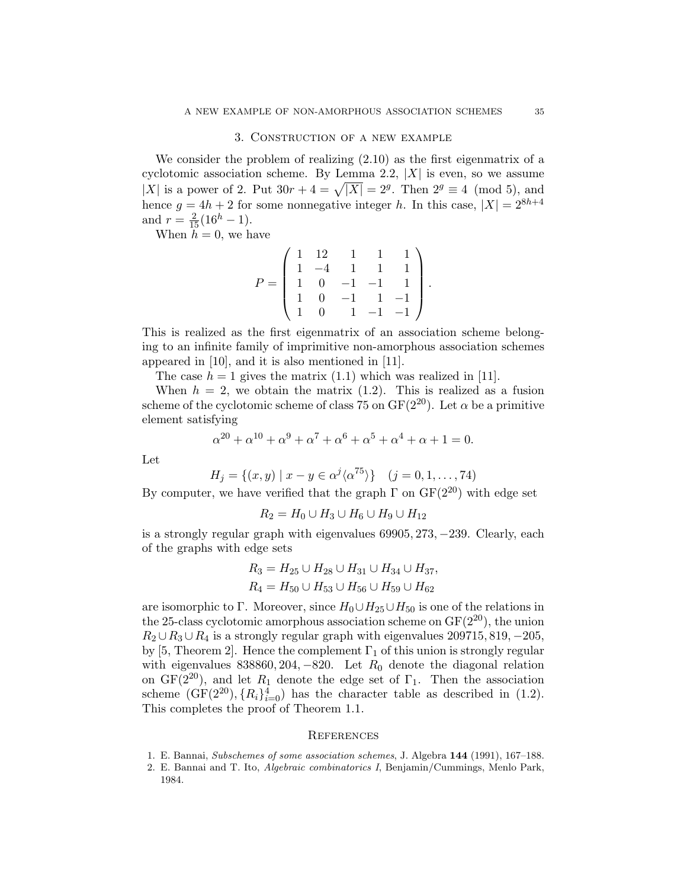## 3. Construction of a new example

We consider the problem of realizing (2.10) as the first eigenmatrix of a cyclotomic association scheme. By Lemma 2.2,  $|X|$  is even, so we assume |X| is a power of 2. Put  $30r + 4 = \sqrt{|X|} = 2^g$ . Then  $2^g \equiv 4 \pmod{5}$ , and hence  $g = 4h + 2$  for some nonnegative integer h. In this case,  $|X| = 2^{8h+4}$ and  $r = \frac{2}{15}(16^h - 1)$ .

When  $h = 0$ , we have

$$
P = \begin{pmatrix} 1 & 12 & 1 & 1 & 1 \\ 1 & -4 & 1 & 1 & 1 \\ 1 & 0 & -1 & -1 & 1 \\ 1 & 0 & -1 & 1 & -1 \\ 1 & 0 & 1 & -1 & -1 \end{pmatrix}.
$$

This is realized as the first eigenmatrix of an association scheme belonging to an infinite family of imprimitive non-amorphous association schemes appeared in [10], and it is also mentioned in [11].

The case  $h = 1$  gives the matrix (1.1) which was realized in [11].

When  $h = 2$ , we obtain the matrix (1.2). This is realized as a fusion scheme of the cyclotomic scheme of class 75 on  $GF(2^{20})$ . Let  $\alpha$  be a primitive element satisfying

$$
\alpha^{20} + \alpha^{10} + \alpha^9 + \alpha^7 + \alpha^6 + \alpha^5 + \alpha^4 + \alpha + 1 = 0.
$$

Let

$$
H_j = \{(x, y) \mid x - y \in \alpha^j \langle \alpha^{75} \rangle\} \quad (j = 0, 1, \dots, 74)
$$

By computer, we have verified that the graph  $\Gamma$  on  $GF(2^{20})$  with edge set

$$
R_2 = H_0 \cup H_3 \cup H_6 \cup H_9 \cup H_{12}
$$

is a strongly regular graph with eigenvalues 69905, 273, −239. Clearly, each of the graphs with edge sets

$$
R_3 = H_{25} \cup H_{28} \cup H_{31} \cup H_{34} \cup H_{37},
$$
  

$$
R_4 = H_{50} \cup H_{53} \cup H_{56} \cup H_{59} \cup H_{62}
$$

are isomorphic to Γ. Moreover, since  $H_0 \cup H_{25} \cup H_{50}$  is one of the relations in the 25-class cyclotomic amorphous association scheme on  $GF(2^{20})$ , the union  $R_2 \cup R_3 \cup R_4$  is a strongly regular graph with eigenvalues 209715, 819, -205, by [5, Theorem 2]. Hence the complement  $\Gamma_1$  of this union is strongly regular with eigenvalues 838860, 204,  $-820$ . Let  $R_0$  denote the diagonal relation on  $GF(2^{20})$ , and let  $R_1$  denote the edge set of  $\Gamma_1$ . Then the association scheme  $(GF(2^{20}), \{R_i\}_{i=0}^4)$  has the character table as described in (1.2). This completes the proof of Theorem 1.1.

### **REFERENCES**

- 1. E. Bannai, Subschemes of some association schemes, J. Algebra 144 (1991), 167–188.
- 2. E. Bannai and T. Ito, Algebraic combinatorics I, Benjamin/Cummings, Menlo Park, 1984.